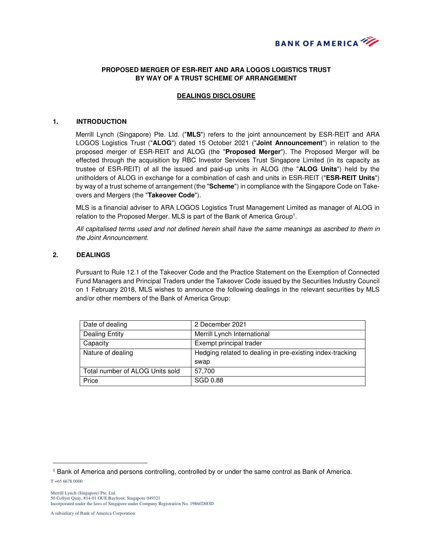

# **PROPOSED MERGER OF ESR-REIT AND ARA LOGOS LOGISTICS TRUST BY WAY OF A TRUST SCHEME OF ARRANGEMENT**

## **DEALINGS DISCLOSURE**

#### **1. INTRODUCTION**

Merrill Lynch (Singapore) Pte. Ltd. ("**MLS**") refers to the joint announcement by ESR-REIT and ARA LOGOS Logistics Trust ("**ALOG**") dated 15 October 2021 ("**Joint Announcement**") in relation to the proposed merger of ESR-REIT and ALOG (the "**Proposed Merger**"). The Proposed Merger will be effected through the acquisition by RBC Investor Services Trust Singapore Limited (in its capacity as trustee of ESR-REIT) of all the issued and paid-up units in ALOG (the "**ALOG Units**") held by the unitholders of ALOG in exchange for a combination of cash and units in ESR-REIT ("**ESR-REIT Units**") by way of a trust scheme of arrangement (the "**Scheme**") in compliance with the Singapore Code on Takeovers and Mergers (the "**Takeover Code**").

MLS is a financial adviser to ARA LOGOS Logistics Trust Management Limited as manager of ALOG in relation to the Proposed Merger. MLS is part of the Bank of America Group<sup>1</sup>.

All capitalised terms used and not defined herein shall have the same meanings as ascribed to them in the Joint Announcement.

### **2. DEALINGS**

Pursuant to Rule 12.1 of the Takeover Code and the Practice Statement on the Exemption of Connected Fund Managers and Principal Traders under the Takeover Code issued by the Securities Industry Council on 1 February 2018, MLS wishes to announce the following dealings in the relevant securities by MLS and/or other members of the Bank of America Group:

| Date of dealing                 | 2 December 2021                                           |
|---------------------------------|-----------------------------------------------------------|
| <b>Dealing Entity</b>           | Merrill Lynch International                               |
| Capacity                        | Exempt principal trader                                   |
| Nature of dealing               | Hedging related to dealing in pre-existing index-tracking |
|                                 | swap                                                      |
| Total number of ALOG Units sold | 57,700                                                    |
| Price                           | SGD 0.88                                                  |

 $\overline{a}$ 

<sup>1</sup> Bank of America and persons controlling, controlled by or under the same control as Bank of America.

T +65 6678 0000